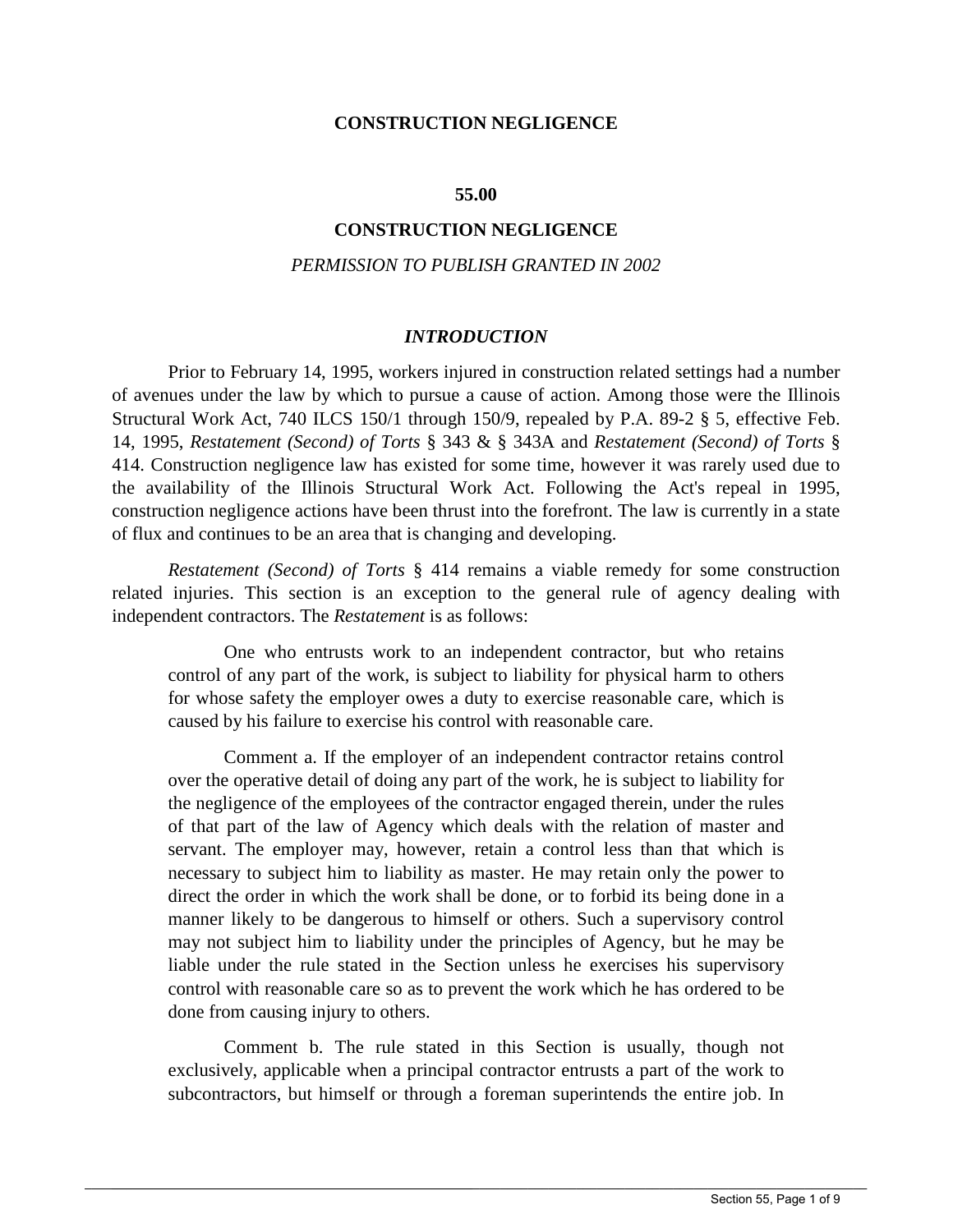#### **CONSTRUCTION NEGLIGENCE**

#### **55.00**

## **CONSTRUCTION NEGLIGENCE**

### *PERMISSION TO PUBLISH GRANTED IN 2002*

#### *INTRODUCTION*

 of avenues under the law by which to pursue a cause of action. Among those were the Illinois 14, 1995, *Restatement (Second) of Torts* § 343 & § 343A and *Restatement (Second) of Torts* § Prior to February 14, 1995, workers injured in construction related settings had a number Structural Work Act, 740 ILCS 150/1 through 150/9, repealed by P.A. 89-2 § 5, effective Feb. 414. Construction negligence law has existed for some time, however it was rarely used due to the availability of the Illinois Structural Work Act. Following the Act's repeal in 1995, construction negligence actions have been thrust into the forefront. The law is currently in a state of flux and continues to be an area that is changing and developing.

*Restatement (Second) of Torts* § 414 remains a viable remedy for some construction related injuries. This section is an exception to the general rule of agency dealing with independent contractors. The *Restatement* is as follows:

One who entrusts work to an independent contractor, but who retains control of any part of the work, is subject to liability for physical harm to others for whose safety the employer owes a duty to exercise reasonable care, which is caused by his failure to exercise his control with reasonable care.

 of that part of the law of Agency which deals with the relation of master and manner likely to be dangerous to himself or others. Such a supervisory control may not subject him to liability under the principles of Agency, but he may be Comment a. If the employer of an independent contractor retains control over the operative detail of doing any part of the work, he is subject to liability for the negligence of the employees of the contractor engaged therein, under the rules servant. The employer may, however, retain a control less than that which is necessary to subject him to liability as master. He may retain only the power to direct the order in which the work shall be done, or to forbid its being done in a liable under the rule stated in the Section unless he exercises his supervisory control with reasonable care so as to prevent the work which he has ordered to be done from causing injury to others.

 subcontractors, but himself or through a foreman superintends the entire job. In Comment b. The rule stated in this Section is usually, though not exclusively, applicable when a principal contractor entrusts a part of the work to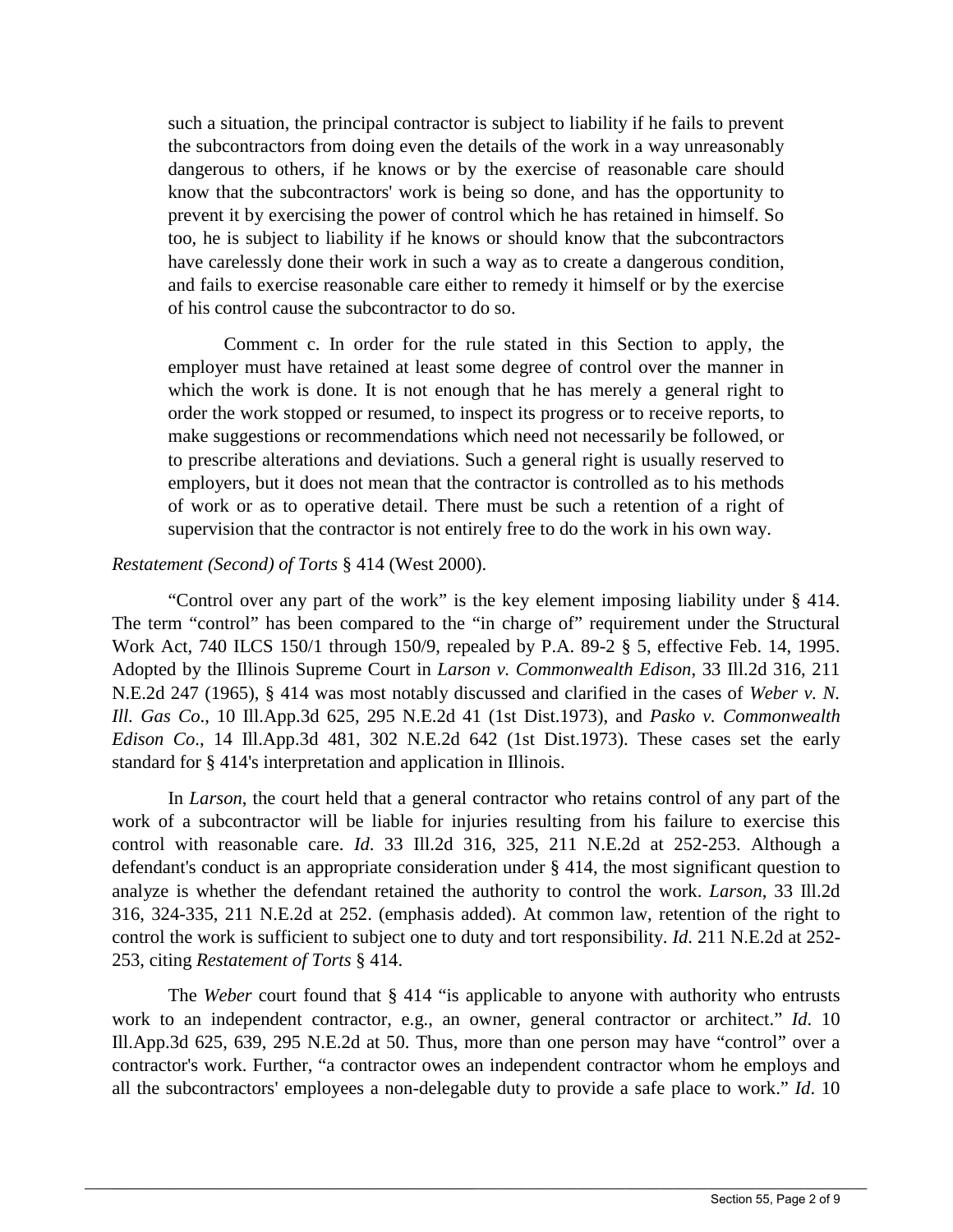dangerous to others, if he knows or by the exercise of reasonable care should have carelessly done their work in such a way as to create a dangerous condition, such a situation, the principal contractor is subject to liability if he fails to prevent the subcontractors from doing even the details of the work in a way unreasonably know that the subcontractors' work is being so done, and has the opportunity to prevent it by exercising the power of control which he has retained in himself. So too, he is subject to liability if he knows or should know that the subcontractors and fails to exercise reasonable care either to remedy it himself or by the exercise of his control cause the subcontractor to do so.

 which the work is done. It is not enough that he has merely a general right to employers, but it does not mean that the contractor is controlled as to his methods of work or as to operative detail. There must be such a retention of a right of Comment c. In order for the rule stated in this Section to apply, the employer must have retained at least some degree of control over the manner in order the work stopped or resumed, to inspect its progress or to receive reports, to make suggestions or recommendations which need not necessarily be followed, or to prescribe alterations and deviations. Such a general right is usually reserved to supervision that the contractor is not entirely free to do the work in his own way.

# Restatement (Second) of Torts § 414 (West 2000).

*Restatement (Second) of Torts* § 414 (West 2000).<br>
"Control over any part of the work" is the key element imposing liability under § 414. The term "control" has been compared to the "in charge of" requirement under the Structural Work Act, 740 ILCS 150/1 through 150/9, repealed by P.A. 89-2 § 5, effective Feb. 14, 1995. Adopted by the Illinois Supreme Court in *Larson v. Commonwealth Edison*, 33 Ill.2d 316, 211 N.E.2d 247 (1965), § 414 was most notably discussed and clarified in the cases of *Weber v. N. Ill. Gas Co*., 10 Ill.App.3d 625, 295 N.E.2d 41 (1st Dist.1973), and *Pasko v. Commonwealth Edison Co*., 14 Ill.App.3d 481, 302 N.E.2d 642 (1st Dist.1973). These cases set the early standard for § 414's interpretation and application in Illinois.

 In *Larson*, the court held that a general contractor who retains control of any part of the control the work is sufficient to subject one to duty and tort responsibility. *Id*. 211 N.E.2d at 252 work of a subcontractor will be liable for injuries resulting from his failure to exercise this control with reasonable care. *Id*. 33 Ill.2d 316, 325, 211 N.E.2d at 252-253. Although a defendant's conduct is an appropriate consideration under § 414, the most significant question to analyze is whether the defendant retained the authority to control the work. *Larson*, 33 Ill.2d 316, 324-335, 211 N.E.2d at 252. (emphasis added). At common law, retention of the right to 253, citing *Restatement of Torts* § 414.

 contractor's work. Further, "a contractor owes an independent contractor whom he employs and all the subcontractors' employees a non-delegable duty to provide a safe place to work." *Id*. 10 The *Weber* court found that § 414 "is applicable to anyone with authority who entrusts work to an independent contractor, e.g., an owner, general contractor or architect." *Id*. 10 Ill.App.3d 625, 639, 295 N.E.2d at 50. Thus, more than one person may have "control" over a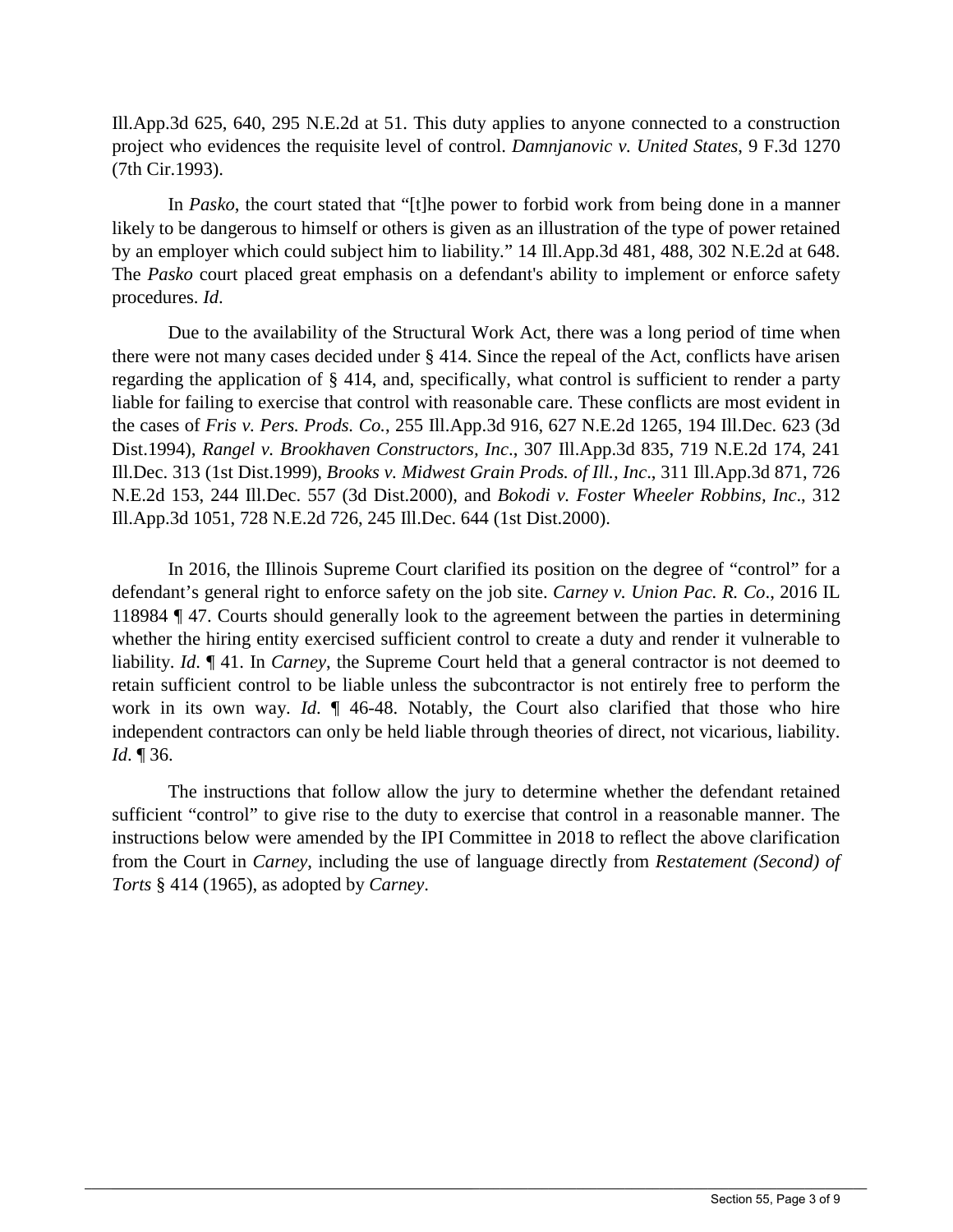Ill.App.3d 625, 640, 295 N.E.2d at 51. This duty applies to anyone connected to a construction project who evidences the requisite level of control. *Damnjanovic v. United States*, 9 F.3d 1270 (7th Cir.1993).

In *Pasko*, the court stated that "[t]he power to forbid work from being done in a manner likely to be dangerous to himself or others is given as an illustration of the type of power retained by an employer which could subject him to liability." 14 Ill.App.3d 481, 488, 302 N.E.2d at 648. The *Pasko* court placed great emphasis on a defendant's ability to implement or enforce safety procedures. *Id*.

Due to the availability of the Structural Work Act, there was a long period of time when there were not many cases decided under § 414. Since the repeal of the Act, conflicts have arisen regarding the application of § 414, and, specifically, what control is sufficient to render a party liable for failing to exercise that control with reasonable care. These conflicts are most evident in the cases of *Fris v. Pers. Prods. Co.*, 255 Ill.App.3d 916, 627 N.E.2d 1265, 194 Ill.Dec. 623 (3d Dist.1994), *Rangel v. Brookhaven Constructors, Inc*., 307 Ill.App.3d 835, 719 N.E.2d 174, 241 Ill.Dec. 313 (1st Dist.1999), *Brooks v. Midwest Grain Prods. of Ill., Inc*., 311 Ill.App.3d 871, 726 N.E.2d 153, 244 Ill.Dec. 557 (3d Dist.2000), and *Bokodi v. Foster Wheeler Robbins, Inc*., 312 Ill.App.3d 1051, 728 N.E.2d 726, 245 Ill.Dec. 644 (1st Dist.2000).

In 2016, the Illinois Supreme Court clarified its position on the degree of "control" for a defendant's general right to enforce safety on the job site. *Carney v. Union Pac. R. Co*., 2016 IL 118984 ¶ 47. Courts should generally look to the agreement between the parties in determining whether the hiring entity exercised sufficient control to create a duty and render it vulnerable to liability. *Id*. ¶ 41. In *Carney*, the Supreme Court held that a general contractor is not deemed to retain sufficient control to be liable unless the subcontractor is not entirely free to perform the work in its own way. *Id*. ¶ 46-48. Notably, the Court also clarified that those who hire independent contractors can only be held liable through theories of direct, not vicarious, liability. *Id*. ¶ 36.

The instructions that follow allow the jury to determine whether the defendant retained sufficient "control" to give rise to the duty to exercise that control in a reasonable manner. The instructions below were amended by the IPI Committee in 2018 to reflect the above clarification from the Court in *Carney*, including the use of language directly from *Restatement (Second) of Torts* § 414 (1965), as adopted by *Carney*.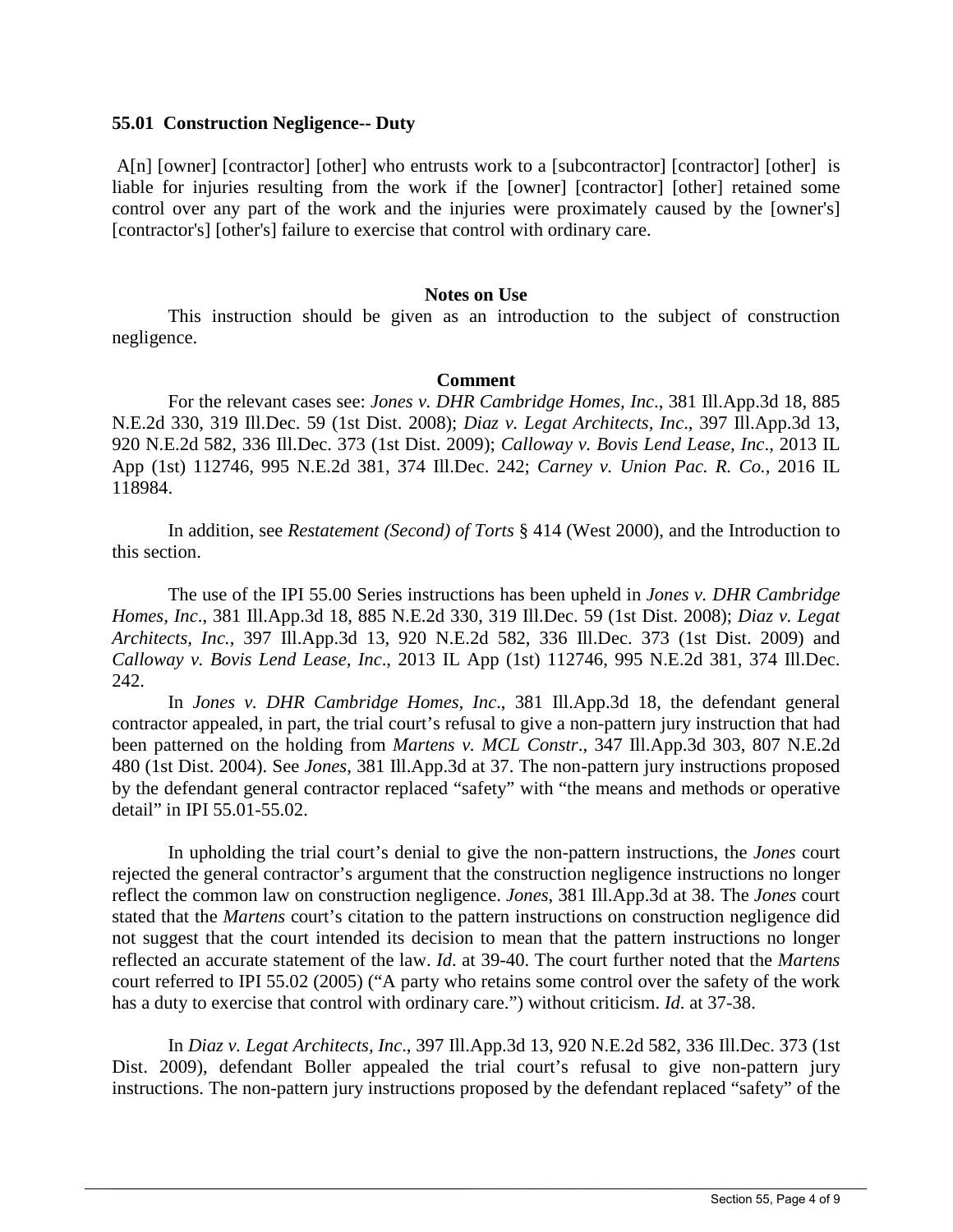## **55.01 Construction Negligence-- Duty**

 A[n] [owner] [contractor] [other] who entrusts work to a [subcontractor] [contractor] [other] is control over any part of the work and the injuries were proximately caused by the [owner's] liable for injuries resulting from the work if the [owner] [contractor] [other] retained some [contractor's] [other's] failure to exercise that control with ordinary care.

#### **Notes on Use**

This instruction should be given as an introduction to the subject of construction negligence.

## **Comment**

For the relevant cases see: *Jones v. DHR Cambridge Homes, Inc*., 381 Ill.App.3d 18, 885 N.E.2d 330, 319 Ill.Dec. 59 (1st Dist. 2008); *Diaz v. Legat Architects, Inc*., 397 Ill.App.3d 13, 920 N.E.2d 582, 336 Ill.Dec. 373 (1st Dist. 2009); *Calloway v. Bovis Lend Lease, Inc*., 2013 IL App (1st) 112746, 995 N.E.2d 381, 374 Ill.Dec. 242; *Carney v. Union Pac. R. Co.*, 2016 IL 118984.

In addition, see *Restatement (Second) of Torts* § 414 (West 2000), and the Introduction to this section.

 *Homes, Inc*., 381 Ill.App.3d 18, 885 N.E.2d 330, 319 Ill.Dec. 59 (1st Dist. 2008); *Diaz v. Legat Architects, Inc.*, 397 Ill.App.3d 13, 920 N.E.2d 582, 336 Ill.Dec. 373 (1st Dist. 2009) and The use of the IPI 55.00 Series instructions has been upheld in *Jones v. DHR Cambridge Calloway v. Bovis Lend Lease, Inc*., 2013 IL App (1st) 112746, 995 N.E.2d 381, 374 Ill.Dec. 242.

In *Jones v. DHR Cambridge Homes, Inc*., 381 Ill.App.3d 18, the defendant general contractor appealed, in part, the trial court's refusal to give a non-pattern jury instruction that had been patterned on the holding from *Martens v. MCL Constr*., 347 Ill.App.3d 303, 807 N.E.2d 480 (1st Dist. 2004). See *Jones*, 381 Ill.App.3d at 37. The non-pattern jury instructions proposed by the defendant general contractor replaced "safety" with "the means and methods or operative detail" in IPI 55.01-55.02.

 In upholding the trial court's denial to give the non-pattern instructions, the *Jones* court reflect the common law on construction negligence. *Jones*, 381 Ill.App.3d at 38. The *Jones* court court referred to IPI 55.02 (2005) ("A party who retains some control over the safety of the work rejected the general contractor's argument that the construction negligence instructions no longer stated that the *Martens* court's citation to the pattern instructions on construction negligence did not suggest that the court intended its decision to mean that the pattern instructions no longer reflected an accurate statement of the law. *Id*. at 39-40. The court further noted that the *Martens*  has a duty to exercise that control with ordinary care.") without criticism. *Id*. at 37-38.

In Diaz v. Legat Architects, Inc., 397 Ill.App.3d 13, 920 N.E.2d 582, 336 Ill.Dec. 373 (1st Dist. 2009), defendant Boller appealed the trial court's refusal to give non-pattern jury instructions. The non-pattern jury instructions proposed by the defendant replaced "safety" of the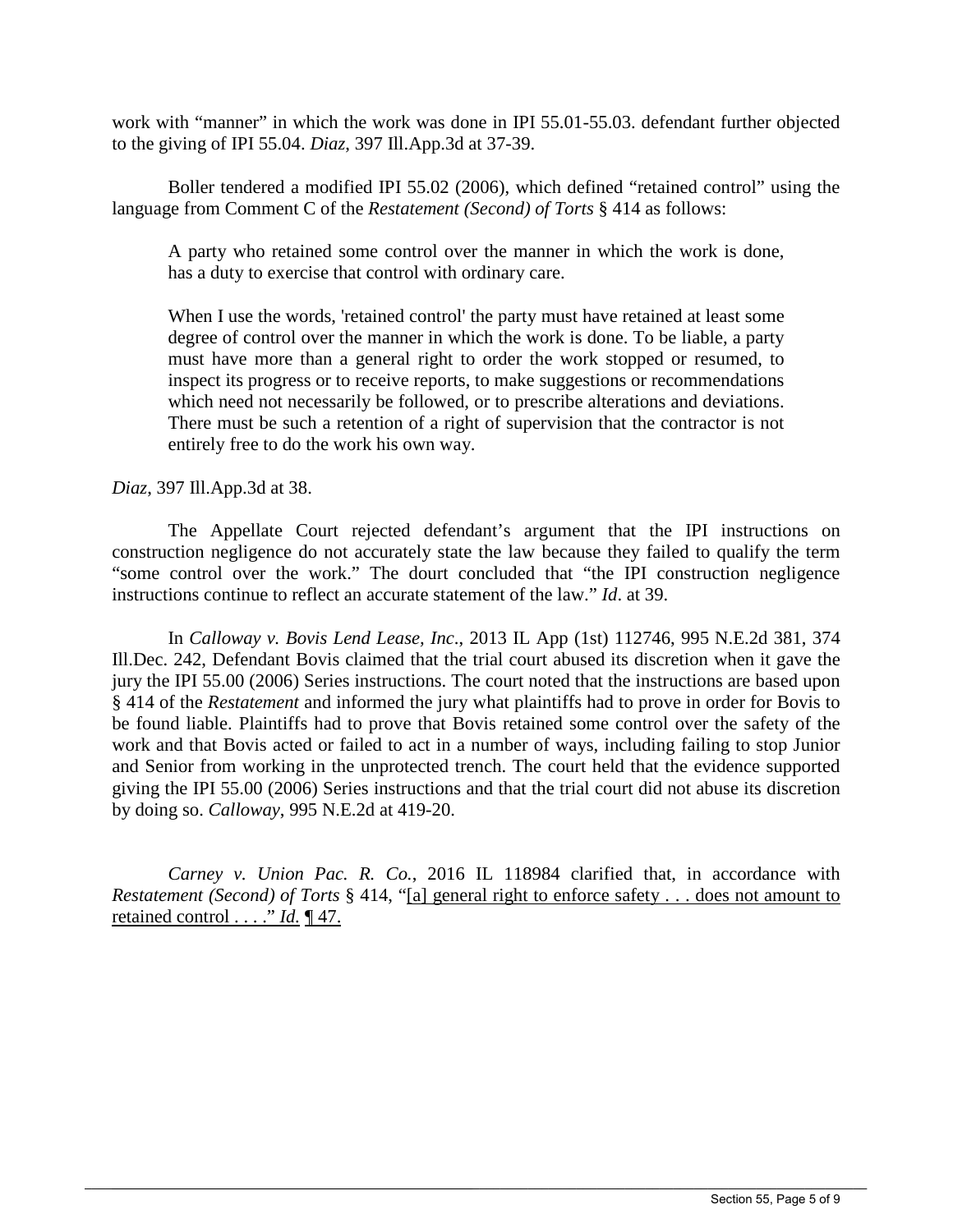work with "manner" in which the work was done in IPI 55.01-55.03. defendant further objected to the giving of IPI 55.04. *Diaz*, 397 Ill.App.3d at 37-39.

language from Comment C of the *Restatement* (*Second*) of Torts  $\S$  414 as follows: Boller tendered a modified IPI 55.02 (2006), which defined "retained control" using the

A party who retained some control over the manner in which the work is done, has a duty to exercise that control with ordinary care.

 must have more than a general right to order the work stopped or resumed, to When I use the words, 'retained control' the party must have retained at least some degree of control over the manner in which the work is done. To be liable, a party inspect its progress or to receive reports, to make suggestions or recommendations which need not necessarily be followed, or to prescribe alterations and deviations. There must be such a retention of a right of supervision that the contractor is not entirely free to do the work his own way.

## *Diaz*, 397 Ill.App.3d at 38.

The Appellate Court rejected defendant's argument that the IPI instructions on construction negligence do not accurately state the law because they failed to qualify the term "some control over the work." The dourt concluded that "the IPI construction negligence instructions continue to reflect an accurate statement of the law." *Id*. at 39.

 Ill.Dec. 242, Defendant Bovis claimed that the trial court abused its discretion when it gave the jury the IPI 55.00 (2006) Series instructions. The court noted that the instructions are based upon be found liable. Plaintiffs had to prove that Bovis retained some control over the safety of the In *Calloway v. Bovis Lend Lease, Inc*., 2013 IL App (1st) 112746, 995 N.E.2d 381, 374 § 414 of the *Restatement* and informed the jury what plaintiffs had to prove in order for Bovis to work and that Bovis acted or failed to act in a number of ways, including failing to stop Junior and Senior from working in the unprotected trench. The court held that the evidence supported giving the IPI 55.00 (2006) Series instructions and that the trial court did not abuse its discretion by doing so. *Calloway*, 995 N.E.2d at 419-20.

*Carney v. Union Pac. R. Co.*, 2016 IL 118984 clarified that, in accordance with *Restatement (Second) of Torts* § 414, "[a] general right to enforce safety . . . does not amount to retained control . . . ." *Id.* ¶ 47.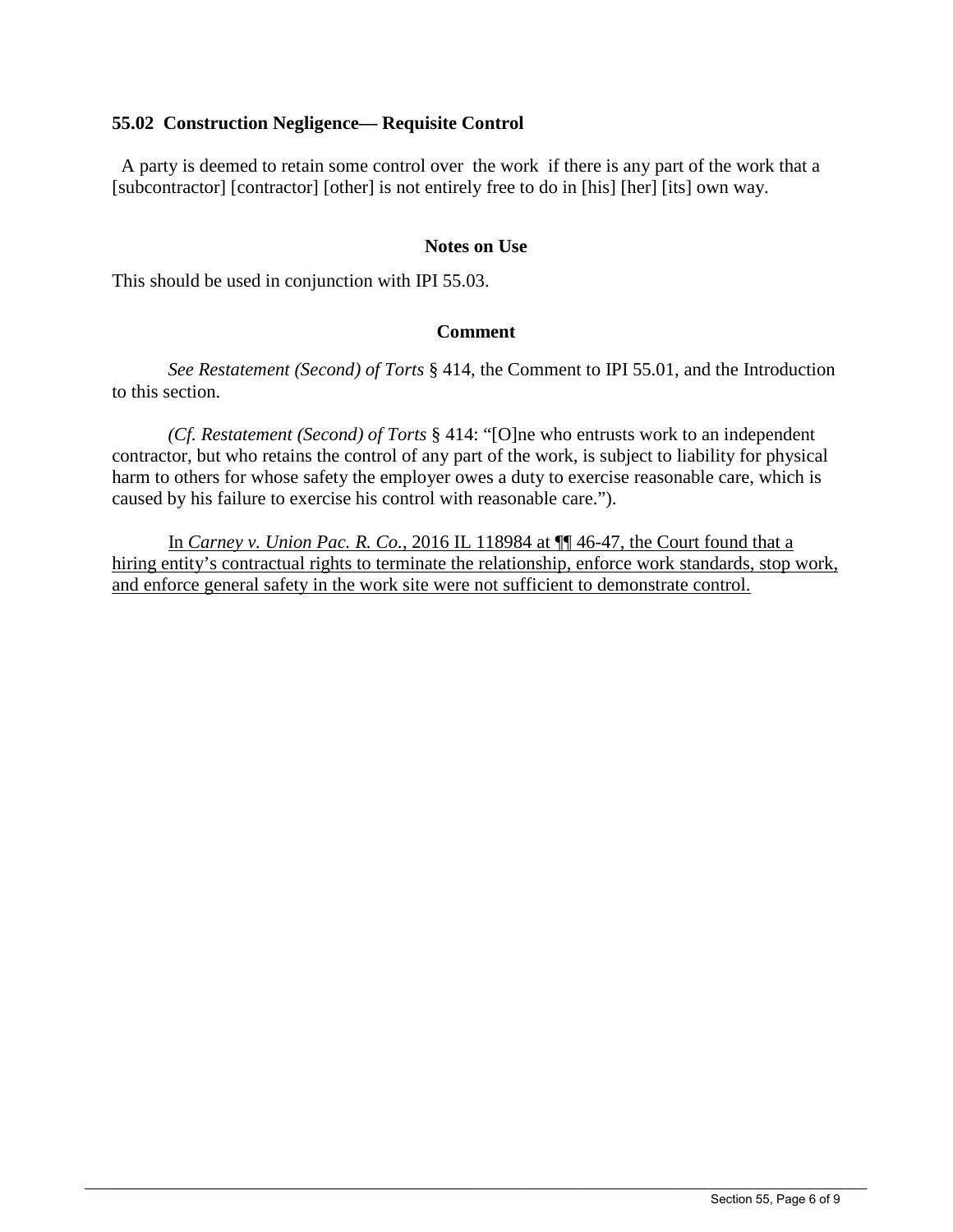# **55.02 Construction Negligence— Requisite Control**

 A party is deemed to retain some control over the work if there is any part of the work that a [subcontractor] [contractor] [other] is not entirely free to do in [his] [her] [its] own way.

# **Notes on Use**

This should be used in conjunction with IPI 55.03.

## **Comment**

*See Restatement (Second) of Torts* § 414, the Comment to IPI 55.01, and the Introduction to this section.

*(Cf. Restatement (Second) of Torts* § 414: "[O]ne who entrusts work to an independent contractor, but who retains the control of any part of the work, is subject to liability for physical harm to others for whose safety the employer owes a duty to exercise reasonable care, which is caused by his failure to exercise his control with reasonable care.").

In *Carney v. Union Pac. R. Co.*, 2016 IL 118984 at ¶¶ 46-47, the Court found that a hiring entity's contractual rights to terminate the relationship, enforce work standards, stop work, and enforce general safety in the work site were not sufficient to demonstrate control.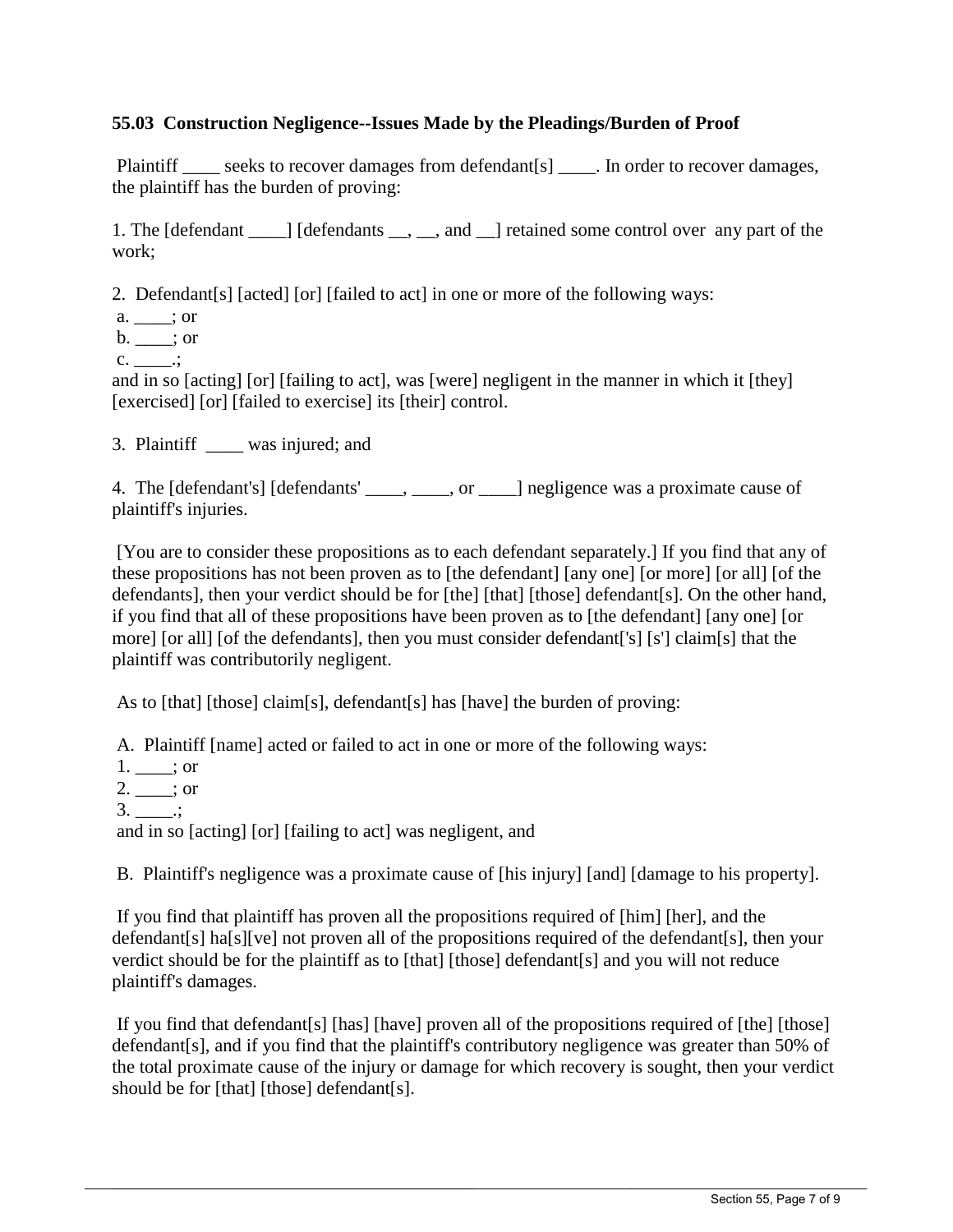# **55.03 Construction Negligence--Issues Made by the Pleadings/Burden of Proof**

the plaintiff has the burden of proving: Plaintiff \_\_\_\_ seeks to recover damages from defendant[s] \_\_\_\_. In order to recover damages,

the plaintiff has the burden of proving:<br>1. The [defendant \_\_\_\_] [defendants \_\_, \_\_, and \_\_] retained some control over any part of the work:

work;<br>2. Defendant[s] [acted] [or] [failed to act] in one or more of the following ways:

a. \_\_\_\_; or

 $b. \_\_\_\$ ; or

 $c.$   $\qquad$ .

 c. \_\_\_\_.; and in so [acting] [or] [failing to act], was [were] negligent in the manner in which it [they] [exercised] [or] [failed to exercise] its [their] control.

3. Plaintiff \_\_\_\_ was injured; and

4. The [defendant's] [defendants' \_\_\_\_, \_\_\_\_, or \_\_\_\_] negligence was a proximate cause of plaintiff's injuries.

 [You are to consider these propositions as to each defendant separately.] If you find that any of these propositions has not been proven as to [the defendant] [any one] [or more] [or all] [of the defendants], then your verdict should be for [the] [that] [those] defendant[s]. On the other hand, if you find that all of these propositions have been proven as to [the defendant] [any one] [or more] [or all] [of the defendants], then you must consider defendant['s] [s'] claim[s] that the plaintiff was contributorily negligent.

As to [that] [those] claim[s], defendant[s] has [have] the burden of proving:

As to [that] [those] claim[s], defendant[s] has [have] the burden of proving:<br>A. Plaintiff [name] acted or failed to act in one or more of the following ways:

 $1.$  \_\_\_; or

 $2. \_\_$ ; or

 $3.$  \_\_\_\_\_\_.;

and in so [acting] [or] [failing to act] was negligent, and

B. Plaintiff's negligence was a proximate cause of [his injury] [and] [damage to his property].

 If you find that plaintiff has proven all the propositions required of [him] [her], and the verdict should be for the plaintiff as to [that] [those] defendant[s] and you will not reduce plaintiff's damages. defendant[s] ha[s][ve] not proven all of the propositions required of the defendant[s], then your

 If you find that defendant[s] [has] [have] proven all of the propositions required of [the] [those] defendant[s], and if you find that the plaintiff's contributory negligence was greater than 50% of the total proximate cause of the injury or damage for which recovery is sought, then your verdict should be for [that] [those] defendant[s].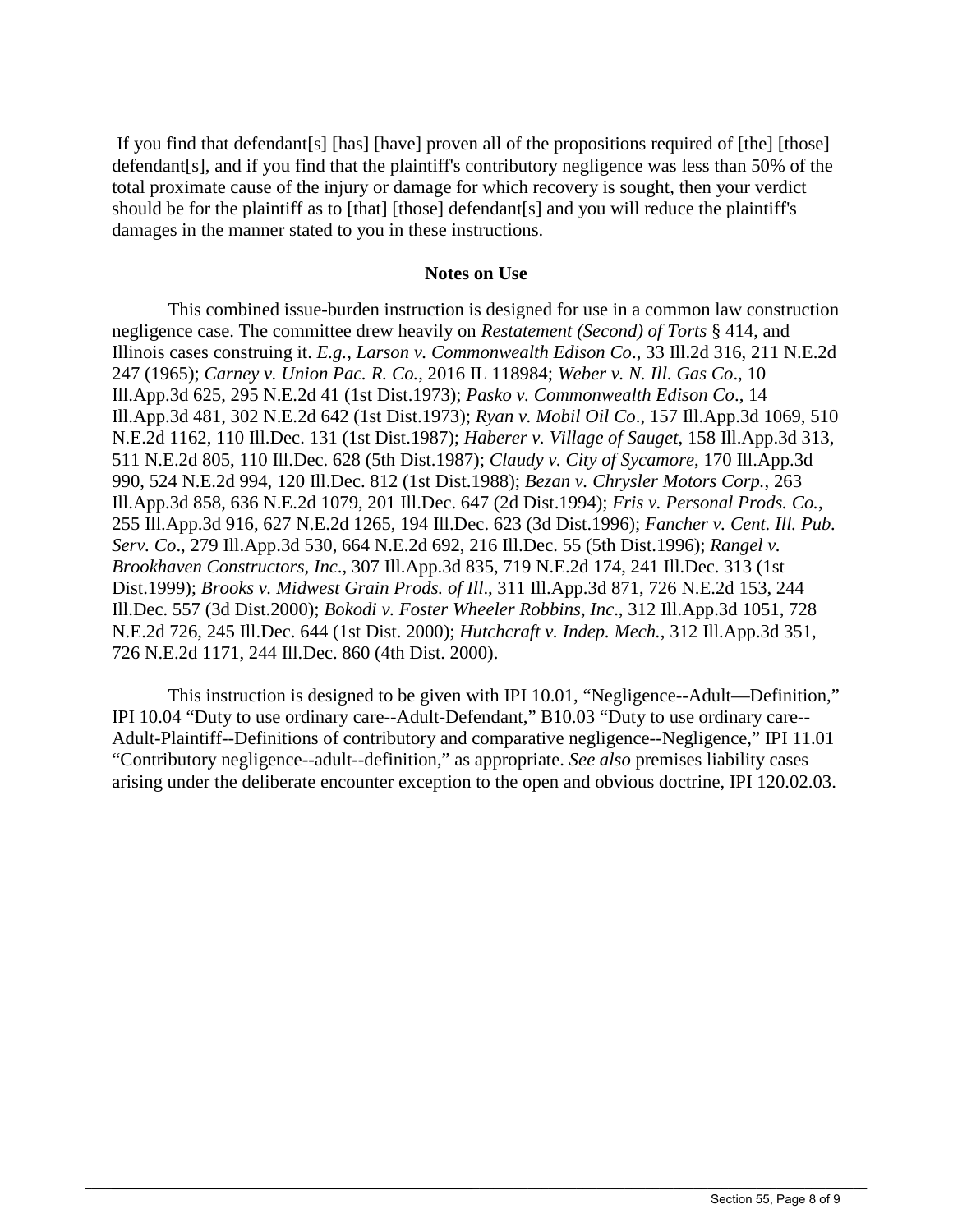If you find that defendant[s] [has] [have] proven all of the propositions required of [the] [those] defendant[s], and if you find that the plaintiff's contributory negligence was less than 50% of the total proximate cause of the injury or damage for which recovery is sought, then your verdict should be for the plaintiff as to [that] [those] defendant[s] and you will reduce the plaintiff's damages in the manner stated to you in these instructions.

#### **Notes on Use**

This combined issue-burden instruction is designed for use in a common law construction negligence case. The committee drew heavily on *Restatement (Second) of Torts* § 414, and Illinois cases construing it. *E.g.*, *Larson v. Commonwealth Edison Co*., 33 Ill.2d 316, 211 N.E.2d 247 (1965); *Carney v. Union Pac. R. Co.*, 2016 IL 118984; *Weber v. N. Ill. Gas Co*., 10 Ill.App.3d 625, 295 N.E.2d 41 (1st Dist.1973); *Pasko v. Commonwealth Edison Co*., 14 Ill.App.3d 481, 302 N.E.2d 642 (1st Dist.1973); *Ryan v. Mobil Oil Co*., 157 Ill.App.3d 1069, 510 N.E.2d 1162, 110 Ill.Dec. 131 (1st Dist.1987); *Haberer v. Village of Sauget*, 158 Ill.App.3d 313, 511 N.E.2d 805, 110 Ill.Dec. 628 (5th Dist.1987); *Claudy v. City of Sycamore*, 170 Ill.App.3d 990, 524 N.E.2d 994, 120 Ill.Dec. 812 (1st Dist.1988); *Bezan v. Chrysler Motors Corp.*, 263 Ill.App.3d 858, 636 N.E.2d 1079, 201 Ill.Dec. 647 (2d Dist.1994); *Fris v. Personal Prods. Co.*, 255 Ill.App.3d 916, 627 N.E.2d 1265, 194 Ill.Dec. 623 (3d Dist.1996); *Fancher v. Cent. Ill. Pub. Serv. Co*., 279 Ill.App.3d 530, 664 N.E.2d 692, 216 Ill.Dec. 55 (5th Dist.1996); *Rangel v. Brookhaven Constructors, Inc*., 307 Ill.App.3d 835, 719 N.E.2d 174, 241 Ill.Dec. 313 (1st Dist.1999); *Brooks v. Midwest Grain Prods. of Ill*., 311 Ill.App.3d 871, 726 N.E.2d 153, 244 Ill.Dec. 557 (3d Dist.2000); *Bokodi v. Foster Wheeler Robbins, Inc*., 312 Ill.App.3d 1051, 728 N.E.2d 726, 245 Ill.Dec. 644 (1st Dist. 2000); *Hutchcraft v. Indep. Mech.*, 312 Ill.App.3d 351, 726 N.E.2d 1171, 244 Ill.Dec. 860 (4th Dist. 2000).

 arising under the deliberate encounter exception to the open and obvious doctrine, IPI 120.02.03. This instruction is designed to be given with IPI 10.01, "Negligence--Adult—Definition," IPI 10.04 "Duty to use ordinary care--Adult-Defendant," B10.03 "Duty to use ordinary care- Adult-Plaintiff--Definitions of contributory and comparative negligence--Negligence," IPI 11.01 "Contributory negligence--adult--definition," as appropriate. *See also* premises liability cases